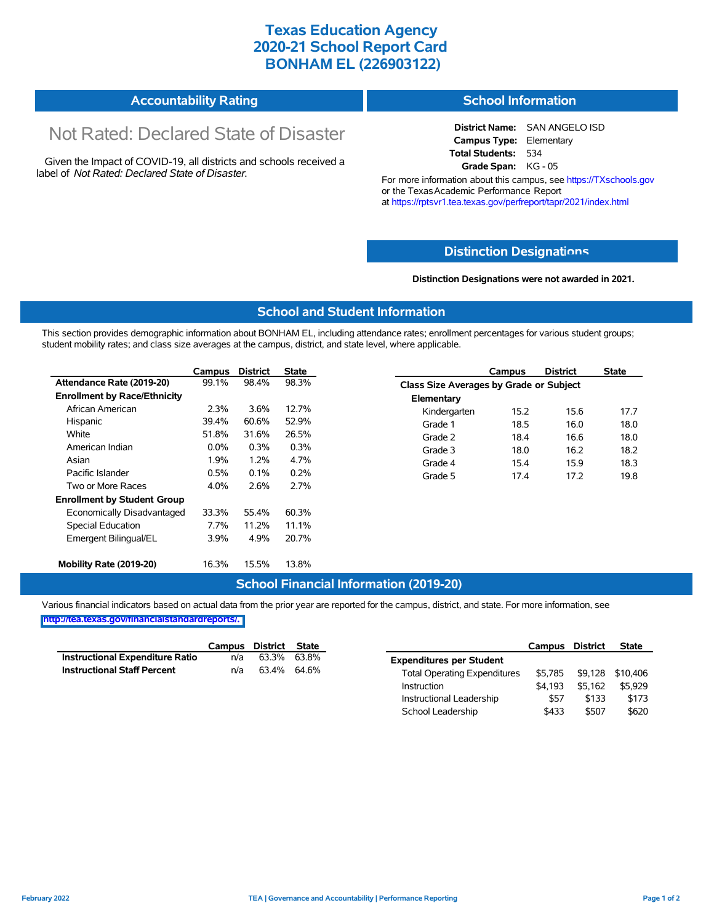## **Texas Education Agency 2020-21 School Report Card BONHAM EL (226903122)**

| <b>School Information</b> | <b>Accountability Rating</b> |  |
|---------------------------|------------------------------|--|
|---------------------------|------------------------------|--|

# Not Rated: Declared State of Disaster

Given the Impact of COVID-19, all districts and schools received a label of *Not Rated: Declared State of Disaster.*

**District Name:** SAN ANGELO ISD **Campus Type:** Elementary **Total Students:** 534 **Grade Span:** KG - 05

For more information about this campus, see https://TXschools.gov or the Texas Academic Performance Report at https://rptsvr1.tea.texas.gov/perfreport/tapr/2021/index.html

### **Distinction Designat[ions](https://TXschools.gov)**

**Distinction Designations were not awarded in 2021.**

School Leadership  $$433$   $$507$  \$620

#### **School and Student Information**

This section provides demographic information about BONHAM EL, including attendance rates; enrollment percentages for various student groups; student mobility rates; and class size averages at the campus, district, and state level, where applicable.

|                                     | Campus  | <b>District</b> | State |              | Campus                                  | <b>District</b> | <b>State</b> |  |  |
|-------------------------------------|---------|-----------------|-------|--------------|-----------------------------------------|-----------------|--------------|--|--|
| Attendance Rate (2019-20)           | 99.1%   | 98.4%           | 98.3% |              | Class Size Averages by Grade or Subject |                 |              |  |  |
| <b>Enrollment by Race/Ethnicity</b> |         |                 |       | Elementary   |                                         |                 |              |  |  |
| African American                    | 2.3%    | 3.6%            | 12.7% | Kindergarten | 15.2                                    | 15.6            | 17.7         |  |  |
| Hispanic                            | 39.4%   | 60.6%           | 52.9% | Grade 1      | 18.5                                    | 16.0            | 18.0         |  |  |
| White                               | 51.8%   | 31.6%           | 26.5% | Grade 2      | 18.4                                    | 16.6            | 18.0         |  |  |
| American Indian                     | $0.0\%$ | 0.3%            | 0.3%  | Grade 3      | 18.0                                    | 16.2            | 18.2         |  |  |
| Asian                               | 1.9%    | 1.2%            | 4.7%  | Grade 4      | 15.4                                    | 15.9            | 18.3         |  |  |
| Pacific Islander                    | 0.5%    | 0.1%            | 0.2%  | Grade 5      | 17.4                                    | 17.2            | 19.8         |  |  |
| Two or More Races                   | 4.0%    | 2.6%            | 2.7%  |              |                                         |                 |              |  |  |
| <b>Enrollment by Student Group</b>  |         |                 |       |              |                                         |                 |              |  |  |
| Economically Disadvantaged          | 33.3%   | 55.4%           | 60.3% |              |                                         |                 |              |  |  |
| Special Education                   | 7.7%    | 11.2%           | 11.1% |              |                                         |                 |              |  |  |
| Emergent Bilingual/EL               | 3.9%    | 4.9%            | 20.7% |              |                                         |                 |              |  |  |
|                                     |         |                 |       |              |                                         |                 |              |  |  |
| Mobility Rate (2019-20)             | 16.3%   | 15.5%           | 13.8% |              |                                         |                 |              |  |  |

#### **School Financial Information (2019-20)**

Various financial indicators based on actual data from the prior year are reported for the campus, district, and state. For more information, see

**[http://tea.texas.gov/financialstandardreports/.](http://tea.texas.gov/financialstandardreports/)**

|                                        | Campus | District | State       |                                     | Campus  | <b>District</b> | <b>State</b>     |
|----------------------------------------|--------|----------|-------------|-------------------------------------|---------|-----------------|------------------|
| <b>Instructional Expenditure Ratio</b> | n/a    | 63.3%    | 63.8%       | <b>Expenditures per Student</b>     |         |                 |                  |
| <b>Instructional Staff Percent</b>     | n/a    |          | 63.4% 64.6% | <b>Total Operating Expenditures</b> | \$5.785 |                 | \$9,128 \$10,406 |
|                                        |        |          |             | Instruction                         | \$4.193 | \$5.162         | \$5.929          |
|                                        |        |          |             | Instructional Leadership            | \$57    | \$133           | \$173            |